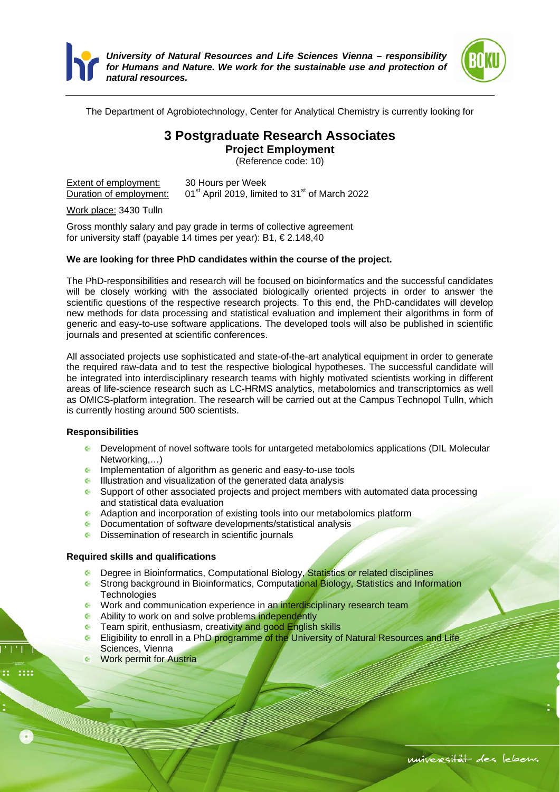



The Department of Agrobiotechnology, Center for Analytical Chemistry is currently looking for

# **3 Postgraduate Research Associates**

**Project Employment** 

(Reference code: 10)

**Extent of employment:** 30 Hours per Week<br>Duration of employment: 01<sup>st</sup> April 2019, limit  $01<sup>st</sup>$  April 2019, limited to 31 $<sup>st</sup>$  of March 2022</sup>

Work place: 3430 Tulln

Gross monthly salary and pay grade in terms of collective agreement for university staff (payable 14 times per year): B1, € 2.148,40

## **We are looking for three PhD candidates within the course of the project.**

The PhD-responsibilities and research will be focused on bioinformatics and the successful candidates will be closely working with the associated biologically oriented projects in order to answer the scientific questions of the respective research projects. To this end, the PhD-candidates will develop new methods for data processing and statistical evaluation and implement their algorithms in form of generic and easy-to-use software applications. The developed tools will also be published in scientific journals and presented at scientific conferences.

All associated projects use sophisticated and state-of-the-art analytical equipment in order to generate the required raw-data and to test the respective biological hypotheses. The successful candidate will be integrated into interdisciplinary research teams with highly motivated scientists working in different areas of life-science research such as LC-HRMS analytics, metabolomics and transcriptomics as well as OMICS-platform integration. The research will be carried out at the Campus Technopol Tulln, which is currently hosting around 500 scientists.

### **Responsibilities**

- Development of novel software tools for untargeted metabolomics applications (DIL Molecular Networking,…)
- **Implementation of algorithm as generic and easy-to-use tools**
- Illustration and visualization of the generated data analysis
- Support of other associated projects and project members with automated data processing and statistical data evaluation
- Adaption and incorporation of existing tools into our metabolomics platform<br>
C Documentation of software developments/statistical analysis
- Documentation of software developments/statistical analysis
- **C** Dissemination of research in scientific journals

### **Required skills and qualifications**

- **•** Degree in Bioinformatics, Computational Biology, Statistics or related disciplines
- Strong background in Bioinformatics, Computational Biology, Statistics and Information **Technologies**
- Work and communication experience in an interdisciplinary research team
- **Ability to work on and solve problems independently**
- **C** Team spirit, enthusiasm, creativity and good English skills
- **Eligibility to enroll in a PhD programme of the University of Natural Resources and Life** Sciences, Vienna
- Work permit for Austria

```
universität des lebens
```